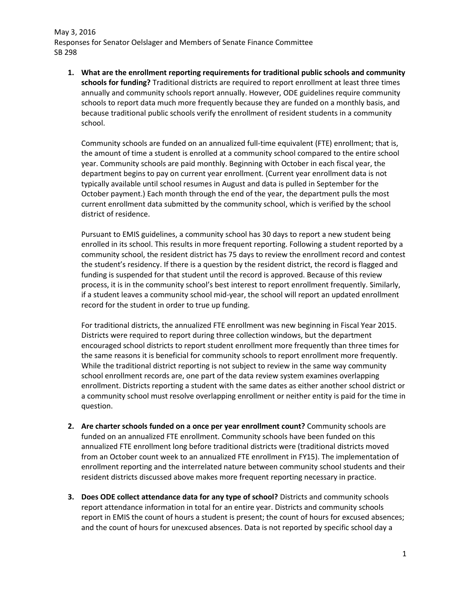**1. What are the enrollment reporting requirements for traditional public schools and community schools for funding?** Traditional districts are required to report enrollment at least three times annually and community schools report annually. However, ODE guidelines require community schools to report data much more frequently because they are funded on a monthly basis, and because traditional public schools verify the enrollment of resident students in a community school.

Community schools are funded on an annualized full-time equivalent (FTE) enrollment; that is, the amount of time a student is enrolled at a community school compared to the entire school year. Community schools are paid monthly. Beginning with October in each fiscal year, the department begins to pay on current year enrollment. (Current year enrollment data is not typically available until school resumes in August and data is pulled in September for the October payment.) Each month through the end of the year, the department pulls the most current enrollment data submitted by the community school, which is verified by the school district of residence.

Pursuant to EMIS guidelines, a community school has 30 days to report a new student being enrolled in its school. This results in more frequent reporting. Following a student reported by a community school, the resident district has 75 days to review the enrollment record and contest the student's residency. If there is a question by the resident district, the record is flagged and funding is suspended for that student until the record is approved. Because of this review process, it is in the community school's best interest to report enrollment frequently. Similarly, if a student leaves a community school mid-year, the school will report an updated enrollment record for the student in order to true up funding.

For traditional districts, the annualized FTE enrollment was new beginning in Fiscal Year 2015. Districts were required to report during three collection windows, but the department encouraged school districts to report student enrollment more frequently than three times for the same reasons it is beneficial for community schools to report enrollment more frequently. While the traditional district reporting is not subject to review in the same way community school enrollment records are, one part of the data review system examines overlapping enrollment. Districts reporting a student with the same dates as either another school district or a community school must resolve overlapping enrollment or neither entity is paid for the time in question.

- **2. Are charter schools funded on a once per year enrollment count?** Community schools are funded on an annualized FTE enrollment. Community schools have been funded on this annualized FTE enrollment long before traditional districts were (traditional districts moved from an October count week to an annualized FTE enrollment in FY15). The implementation of enrollment reporting and the interrelated nature between community school students and their resident districts discussed above makes more frequent reporting necessary in practice.
- **3. Does ODE collect attendance data for any type of school?** Districts and community schools report attendance information in total for an entire year. Districts and community schools report in EMIS the count of hours a student is present; the count of hours for excused absences; and the count of hours for unexcused absences. Data is not reported by specific school day a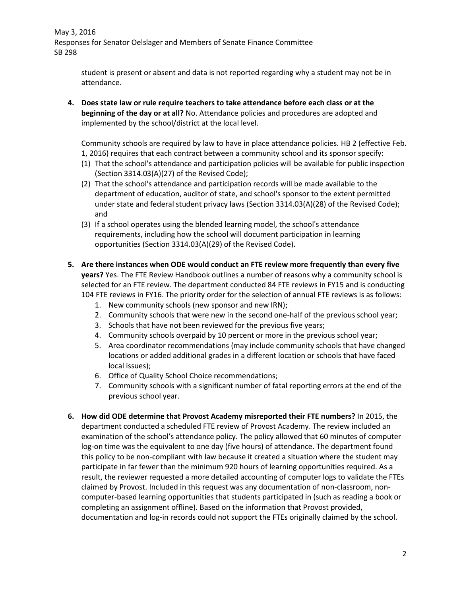> student is present or absent and data is not reported regarding why a student may not be in attendance.

**4. Does state law or rule require teachers to take attendance before each class or at the beginning of the day or at all?** No. Attendance policies and procedures are adopted and implemented by the school/district at the local level.

Community schools are required by law to have in place attendance policies. HB 2 (effective Feb. 1, 2016) requires that each contract between a community school and its sponsor specify:

- (1) That the school's attendance and participation policies will be available for public inspection (Section 3314.03(A)(27) of the Revised Code);
- (2) That the school's attendance and participation records will be made available to the department of education, auditor of state, and school's sponsor to the extent permitted under state and federal student privacy laws (Section 3314.03(A)(28) of the Revised Code); and
- (3) If a school operates using the blended learning model, the school's attendance requirements, including how the school will document participation in learning opportunities (Section 3314.03(A)(29) of the Revised Code).
- **5. Are there instances when ODE would conduct an FTE review more frequently than every five years?** Yes. The FTE Review Handbook outlines a number of reasons why a community school is selected for an FTE review. The department conducted 84 FTE reviews in FY15 and is conducting 104 FTE reviews in FY16. The priority order for the selection of annual FTE reviews is as follows:
	- 1. New community schools (new sponsor and new IRN);
	- 2. Community schools that were new in the second one-half of the previous school year;
	- 3. Schools that have not been reviewed for the previous five years;
	- 4. Community schools overpaid by 10 percent or more in the previous school year;
	- 5. Area coordinator recommendations (may include community schools that have changed locations or added additional grades in a different location or schools that have faced local issues);
	- 6. Office of Quality School Choice recommendations;
	- 7. Community schools with a significant number of fatal reporting errors at the end of the previous school year.
- **6. How did ODE determine that Provost Academy misreported their FTE numbers?** In 2015, the department conducted a scheduled FTE review of Provost Academy. The review included an examination of the school's attendance policy. The policy allowed that 60 minutes of computer log-on time was the equivalent to one day (five hours) of attendance. The department found this policy to be non-compliant with law because it created a situation where the student may participate in far fewer than the minimum 920 hours of learning opportunities required. As a result, the reviewer requested a more detailed accounting of computer logs to validate the FTEs claimed by Provost. Included in this request was any documentation of non-classroom, noncomputer-based learning opportunities that students participated in (such as reading a book or completing an assignment offline). Based on the information that Provost provided, documentation and log-in records could not support the FTEs originally claimed by the school.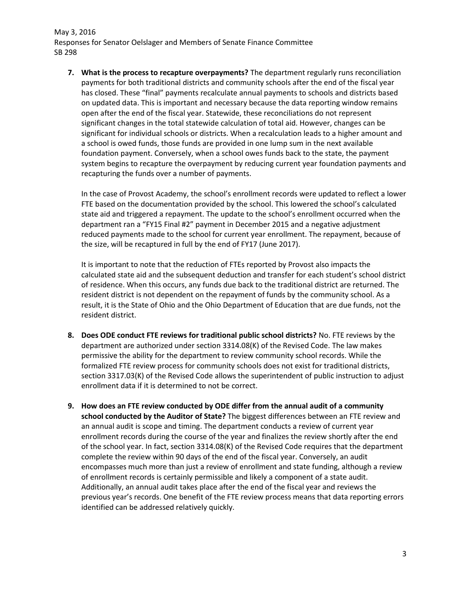**7. What is the process to recapture overpayments?** The department regularly runs reconciliation payments for both traditional districts and community schools after the end of the fiscal year has closed. These "final" payments recalculate annual payments to schools and districts based on updated data. This is important and necessary because the data reporting window remains open after the end of the fiscal year. Statewide, these reconciliations do not represent significant changes in the total statewide calculation of total aid. However, changes can be significant for individual schools or districts. When a recalculation leads to a higher amount and a school is owed funds, those funds are provided in one lump sum in the next available foundation payment. Conversely, when a school owes funds back to the state, the payment system begins to recapture the overpayment by reducing current year foundation payments and recapturing the funds over a number of payments.

In the case of Provost Academy, the school's enrollment records were updated to reflect a lower FTE based on the documentation provided by the school. This lowered the school's calculated state aid and triggered a repayment. The update to the school's enrollment occurred when the department ran a "FY15 Final #2" payment in December 2015 and a negative adjustment reduced payments made to the school for current year enrollment. The repayment, because of the size, will be recaptured in full by the end of FY17 (June 2017).

It is important to note that the reduction of FTEs reported by Provost also impacts the calculated state aid and the subsequent deduction and transfer for each student's school district of residence. When this occurs, any funds due back to the traditional district are returned. The resident district is not dependent on the repayment of funds by the community school. As a result, it is the State of Ohio and the Ohio Department of Education that are due funds, not the resident district.

- **8. Does ODE conduct FTE reviews for traditional public school districts?** No. FTE reviews by the department are authorized under section 3314.08(K) of the Revised Code. The law makes permissive the ability for the department to review community school records. While the formalized FTE review process for community schools does not exist for traditional districts, section 3317.03(K) of the Revised Code allows the superintendent of public instruction to adjust enrollment data if it is determined to not be correct.
- **9. How does an FTE review conducted by ODE differ from the annual audit of a community school conducted by the Auditor of State?** The biggest differences between an FTE review and an annual audit is scope and timing. The department conducts a review of current year enrollment records during the course of the year and finalizes the review shortly after the end of the school year. In fact, section 3314.08(K) of the Revised Code requires that the department complete the review within 90 days of the end of the fiscal year. Conversely, an audit encompasses much more than just a review of enrollment and state funding, although a review of enrollment records is certainly permissible and likely a component of a state audit. Additionally, an annual audit takes place after the end of the fiscal year and reviews the previous year's records. One benefit of the FTE review process means that data reporting errors identified can be addressed relatively quickly.